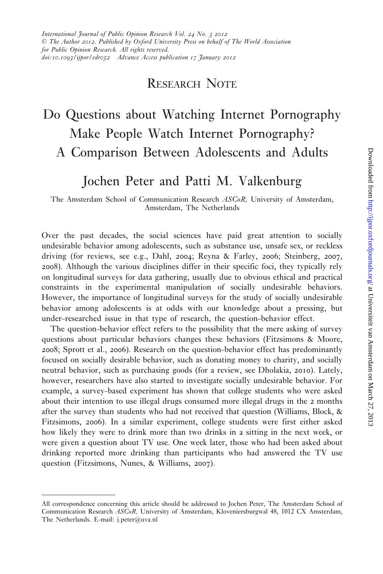## RESEARCH NOTE

# Do Questions about Watching Internet Pornography Make People Watch Internet Pornography? A Comparison Between Adolescents and Adults

## Jochen Peter and Patti M. Valkenburg

The Amsterdam School of Communication Research ASCoR, University of Amsterdam, Amsterdam, The Netherlands

Over the past decades, the social sciences have paid great attention to socially undesirable behavior among adolescents, such as substance use, unsafe sex, or reckless driving (for reviews, see e.g., [Dahl,](#page-9-0) 2004; [Reyna & Farley,](#page-10-0) 2006; [Steinberg,](#page-10-0) 2007, [2008](#page-10-0)). Although the various disciplines differ in their specific foci, they typically rely on longitudinal surveys for data gathering, usually due to obvious ethical and practical constraints in the experimental manipulation of socially undesirable behaviors. However, the importance of longitudinal surveys for the study of socially undesirable behavior among adolescents is at odds with our knowledge about a pressing, but under-researched issue in that type of research, the question-behavior effect.

The question-behavior effect refers to the possibility that the mere asking of survey questions about particular behaviors changes these behaviors [\(Fitzsimons & Moore,](#page-9-0) [2008](#page-9-0); [Sprott et al.,](#page-10-0) 2006). Research on the question-behavior effect has predominantly focused on socially desirable behavior, such as donating money to charity, and socially neutral behavior, such as purchasing goods (for a review, see [Dholakia,](#page-9-0) 2010). Lately, however, researchers have also started to investigate socially undesirable behavior. For example, a survey-based experiment has shown that college students who were asked about their intention to use illegal drugs consumed more illegal drugs in the 2 months after the survey than students who had not received that question ([Williams, Block, &](#page-10-0) [Fitzsimons,](#page-10-0) 2006). In a similar experiment, college students were first either asked how likely they were to drink more than two drinks in a sitting in the next week, or were given a question about TV use. One week later, those who had been asked about drinking reported more drinking than participants who had answered the TV use question ([Fitzsimons, Nunes, & Williams,](#page-9-0) 2007).

All correspondence concerning this article should be addressed to Jochen Peter, The Amsterdam School of Communication Research ASCoR, University of Amsterdam, Kloveniersburgwal 48, 1012 CX Amsterdam, The Netherlands. E-mail: j.peter@uva.nl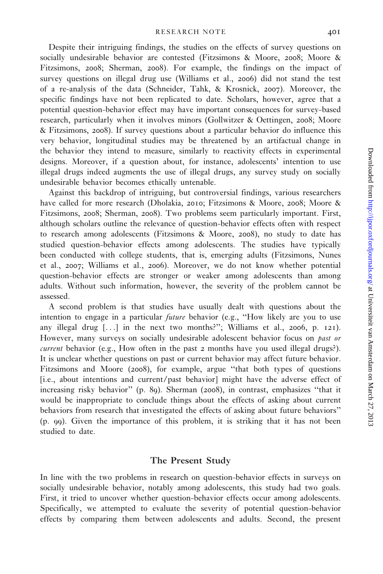Despite their intriguing findings, the studies on the effects of survey questions on socially undesirable behavior are contested ([Fitzsimons & Moore,](#page-9-0) 2008; [Moore &](#page-9-0) [Fitzsimons,](#page-9-0) 2008; [Sherman,](#page-10-0) 2008). For example, the findings on the impact of survey questions on illegal drug use [\(Williams et al.,](#page-10-0) 2006) did not stand the test of a re-analysis of the data ([Schneider, Tahk, & Krosnick,](#page-10-0) 2007). Moreover, the specific findings have not been replicated to date. Scholars, however, agree that a potential question-behavior effect may have important consequences for survey-based research, particularly when it involves minors ([Gollwitzer & Oettingen,](#page-9-0) 2008; [Moore](#page-9-0) [& Fitzsimons,](#page-9-0) 2008). If survey questions about a particular behavior do influence this very behavior, longitudinal studies may be threatened by an artifactual change in the behavior they intend to measure, similarly to reactivity effects in experimental designs. Moreover, if a question about, for instance, adolescents' intention to use illegal drugs indeed augments the use of illegal drugs, any survey study on socially undesirable behavior becomes ethically untenable.

Against this backdrop of intriguing, but controversial findings, various researchers have called for more research ([Dholakia,](#page-9-0) 2010; [Fitzsimons & Moore,](#page-9-0) 2008; [Moore &](#page-9-0) [Fitzsimons,](#page-9-0) 2008; [Sherman,](#page-10-0) 2008). Two problems seem particularly important. First, although scholars outline the relevance of question-behavior effects often with respect to research among adolescents [\(Fitzsimons & Moore,](#page-9-0) 2008), no study to date has studied question-behavior effects among adolescents. The studies have typically been conducted with college students, that is, emerging adults [\(Fitzsimons, Nunes](#page-9-0) [et al.,](#page-9-0) 2007; [Williams et al.,](#page-10-0) 2006). Moreover, we do not know whether potential question-behavior effects are stronger or weaker among adolescents than among adults. Without such information, however, the severity of the problem cannot be assessed.

A second problem is that studies have usually dealt with questions about the intention to engage in a particular future behavior (e.g., ''How likely are you to use any illegal drug  $[\ldots]$  in the next two months?"; [Williams et al.,](#page-10-0) 2006, p. 121). However, many surveys on socially undesirable adolescent behavior focus on *past or current* behavior (e.g., How often in the past 2 months have you used illegal drugs?). It is unclear whether questions on past or current behavior may affect future behavior. [Fitzsimons and Moore \(](#page-9-0)2008), for example, argue ''that both types of questions [i.e., about intentions and current/past behavior] might have the adverse effect of increasing risky behavior'' (p. 89). [Sherman \(](#page-10-0)2008), in contrast, emphasizes ''that it would be inappropriate to conclude things about the effects of asking about current behaviors from research that investigated the effects of asking about future behaviors'' (p. 99). Given the importance of this problem, it is striking that it has not been studied to date.

#### The Present Study

In line with the two problems in research on question-behavior effects in surveys on socially undesirable behavior, notably among adolescents, this study had two goals. First, it tried to uncover whether question-behavior effects occur among adolescents. Specifically, we attempted to evaluate the severity of potential question-behavior effects by comparing them between adolescents and adults. Second, the present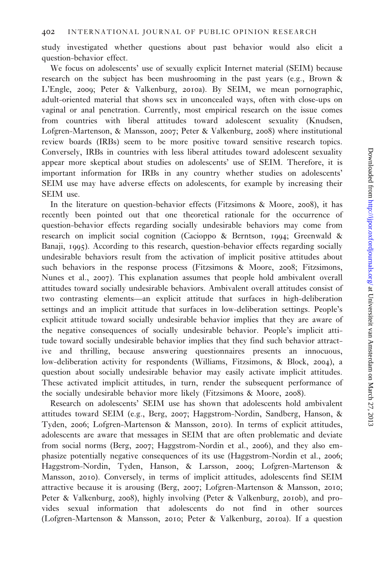study investigated whether questions about past behavior would also elicit a question-behavior effect.

We focus on adolescents' use of sexually explicit Internet material (SEIM) because research on the subject has been mushrooming in the past years (e.g., [Brown &](#page-8-0) [L'Engle,](#page-8-0) 2009; [Peter & Valkenburg,](#page-10-0) 2010a). By SEIM, we mean pornographic, adult-oriented material that shows sex in unconcealed ways, often with close-ups on vaginal or anal penetration. Currently, most empirical research on the issue comes from countries with liberal attitudes toward adolescent sexuality [\(Knudsen,](#page-9-0) [Lofgren-Martenson, & Mansson,](#page-9-0) 2007; [Peter & Valkenburg,](#page-9-0) 2008) where institutional review boards (IRBs) seem to be more positive toward sensitive research topics. Conversely, IRBs in countries with less liberal attitudes toward adolescent sexuality appear more skeptical about studies on adolescents' use of SEIM. Therefore, it is important information for IRBs in any country whether studies on adolescents' SEIM use may have adverse effects on adolescents, for example by increasing their SEIM use.

In the literature on question-behavior effects ([Fitzsimons & Moore,](#page-9-0) 2008), it has recently been pointed out that one theoretical rationale for the occurrence of question-behavior effects regarding socially undesirable behaviors may come from research on implicit social cognition [\(Cacioppo & Berntson,](#page-9-0) 1994; [Greenwald &](#page-9-0) [Banaji,](#page-9-0) 1995). According to this research, question-behavior effects regarding socially undesirable behaviors result from the activation of implicit positive attitudes about such behaviors in the response process ([Fitzsimons & Moore,](#page-9-0) 2008; [Fitzsimons,](#page-9-0) [Nunes et al.,](#page-9-0) 2007). This explanation assumes that people hold ambivalent overall attitudes toward socially undesirable behaviors. Ambivalent overall attitudes consist of two contrasting elements—an explicit attitude that surfaces in high-deliberation settings and an implicit attitude that surfaces in low-deliberation settings. People's explicit attitude toward socially undesirable behavior implies that they are aware of the negative consequences of socially undesirable behavior. People's implicit attitude toward socially undesirable behavior implies that they find such behavior attractive and thrilling, because answering questionnaires presents an innocuous, low-deliberation activity for respondents [\(Williams, Fitzsimons, & Block,](#page-10-0) 2004), a question about socially undesirable behavior may easily activate implicit attitudes. These activated implicit attitudes, in turn, render the subsequent performance of the socially undesirable behavior more likely ([Fitzsimons & Moore,](#page-9-0) 2008).

Research on adolescents' SEIM use has shown that adolescents hold ambivalent attitudes toward SEIM (e.g., [Berg,](#page-8-0) 2007; [Haggstrom-Nordin, Sandberg, Hanson, &](#page-9-0) [Tyden,](#page-9-0) 2006; [Lofgren-Martenson & Mansson,](#page-9-0) 2010). In terms of explicit attitudes, adolescents are aware that messages in SEIM that are often problematic and deviate from social norms ([Berg,](#page-8-0) 2007; [Haggstrom-Nordin et al.,](#page-9-0) 2006), and they also emphasize potentially negative consequences of its use ([Haggstrom-Nordin et al.,](#page-9-0) 2006; [Haggstrom-Nordin, Tyden, Hanson, & Larsson,](#page-9-0) 2009; [Lofgren-Martenson &](#page-9-0) [Mansson,](#page-9-0) 2010). Conversely, in terms of implicit attitudes, adolescents find SEIM attractive because it is arousing [\(Berg,](#page-8-0) 2007; [Lofgren-Martenson & Mansson,](#page-9-0) 2010; [Peter & Valkenburg,](#page-9-0) 2008), highly involving [\(Peter & Valkenburg,](#page-10-0) 2010b), and provides sexual information that adolescents do not find in other sources [\(Lofgren-Martenson & Mansson,](#page-9-0) 2010; [Peter & Valkenburg,](#page-10-0) 2010a). If a question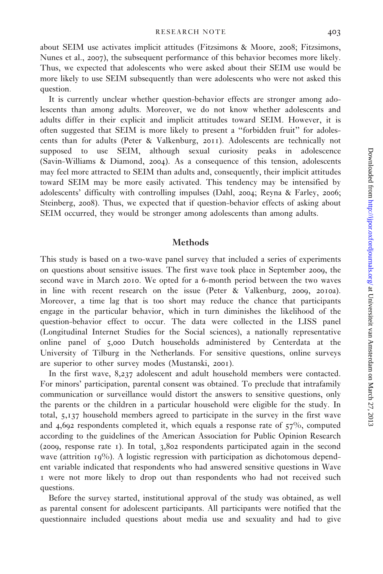about SEIM use activates implicit attitudes [\(Fitzsimons & Moore,](#page-9-0) 2008; [Fitzsimons,](#page-9-0) [Nunes et al.,](#page-9-0) 2007), the subsequent performance of this behavior becomes more likely. Thus, we expected that adolescents who were asked about their SEIM use would be more likely to use SEIM subsequently than were adolescents who were not asked this question.

It is currently unclear whether question-behavior effects are stronger among adolescents than among adults. Moreover, we do not know whether adolescents and adults differ in their explicit and implicit attitudes toward SEIM. However, it is often suggested that SEIM is more likely to present a ''forbidden fruit'' for adolescents than for adults [\(Peter & Valkenburg,](#page-10-0) 2011). Adolescents are technically not supposed to use SEIM, although sexual curiosity peaks in adolescence [\(Savin-Williams & Diamond,](#page-10-0) 2004). As a consequence of this tension, adolescents may feel more attracted to SEIM than adults and, consequently, their implicit attitudes toward SEIM may be more easily activated. This tendency may be intensified by adolescents' difficulty with controlling impulses [\(Dahl,](#page-9-0) 2004; [Reyna & Farley,](#page-10-0) 2006; [Steinberg,](#page-10-0) 2008). Thus, we expected that if question-behavior effects of asking about SEIM occurred, they would be stronger among adolescents than among adults.

#### Methods

This study is based on a two-wave panel survey that included a series of experiments on questions about sensitive issues. The first wave took place in September 2009, the second wave in March 2010. We opted for a 6-month period between the two waves in line with recent research on the issue [\(Peter & Valkenburg,](#page-9-0) 2009, [2010](#page-10-0)a). Moreover, a time lag that is too short may reduce the chance that participants engage in the particular behavior, which in turn diminishes the likelihood of the question-behavior effect to occur. The data were collected in the LISS panel (Longitudinal Internet Studies for the Social sciences), a nationally representative online panel of 5,000 Dutch households administered by Centerdata at the University of Tilburg in the Netherlands. For sensitive questions, online surveys are superior to other survey modes [\(Mustanski,](#page-9-0) 2001).

In the first wave, 8,237 adolescent and adult household members were contacted. For minors' participation, parental consent was obtained. To preclude that intrafamily communication or surveillance would distort the answers to sensitive questions, only the parents or the children in a particular household were eligible for the study. In total, 5,137 household members agreed to participate in the survey in the first wave and 4,692 respondents completed it, which equals a response rate of  $57\%$ , computed according to the guidelines of the American Association for Public Opinion Research ([2009](#page-8-0), response rate 1). In total, 3,802 respondents participated again in the second wave (attrition 19%). A logistic regression with participation as dichotomous dependent variable indicated that respondents who had answered sensitive questions in Wave 1 were not more likely to drop out than respondents who had not received such questions.

Before the survey started, institutional approval of the study was obtained, as well as parental consent for adolescent participants. All participants were notified that the questionnaire included questions about media use and sexuality and had to give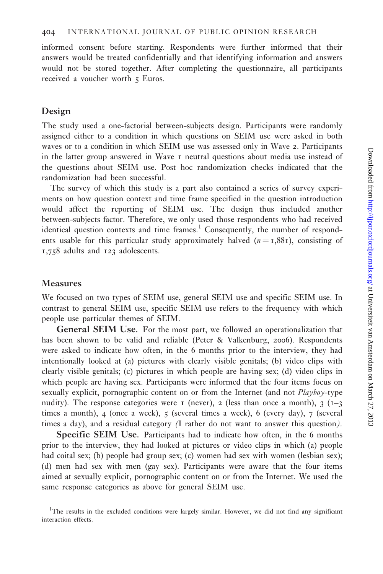informed consent before starting. Respondents were further informed that their answers would be treated confidentially and that identifying information and answers would not be stored together. After completing the questionnaire, all participants received a voucher worth  $\epsilon$  Euros.

#### Design

The study used a one-factorial between-subjects design. Participants were randomly assigned either to a condition in which questions on SEIM use were asked in both waves or to a condition in which SEIM use was assessed only in Wave 2. Participants in the latter group answered in Wave 1 neutral questions about media use instead of the questions about SEIM use. Post hoc randomization checks indicated that the randomization had been successful.

The survey of which this study is a part also contained a series of survey experiments on how question context and time frame specified in the question introduction would affect the reporting of SEIM use. The design thus included another between-subjects factor. Therefore, we only used those respondents who had received identical question contexts and time frames. $<sup>1</sup>$  Consequently, the number of respond-</sup> ents usable for this particular study approximately halved  $(n = 1,881)$ , consisting of 1,758 adults and 123 adolescents.

#### Measures

We focused on two types of SEIM use, general SEIM use and specific SEIM use. In contrast to general SEIM use, specific SEIM use refers to the frequency with which people use particular themes of SEIM.

General SEIM Use. For the most part, we followed an operationalization that has been shown to be valid and reliable ([Peter & Valkenburg,](#page-9-0) 2006). Respondents were asked to indicate how often, in the 6 months prior to the interview, they had intentionally looked at (a) pictures with clearly visible genitals; (b) video clips with clearly visible genitals; (c) pictures in which people are having sex; (d) video clips in which people are having sex. Participants were informed that the four items focus on sexually explicit, pornographic content on or from the Internet (and not *Playboy*-type nudity). The response categories were 1 (never), 2 (less than once a month), 3 ( $1-3$ ) times a month), 4 (once a week), 5 (several times a week), 6 (every day), 7 (several times a day), and a residual category (I rather do not want to answer this question).

Specific SEIM Use. Participants had to indicate how often, in the 6 months prior to the interview, they had looked at pictures or video clips in which (a) people had coital sex; (b) people had group sex; (c) women had sex with women (lesbian sex); (d) men had sex with men (gay sex). Participants were aware that the four items aimed at sexually explicit, pornographic content on or from the Internet. We used the same response categories as above for general SEIM use.

<sup>&</sup>lt;sup>1</sup>The results in the excluded conditions were largely similar. However, we did not find any significant interaction effects.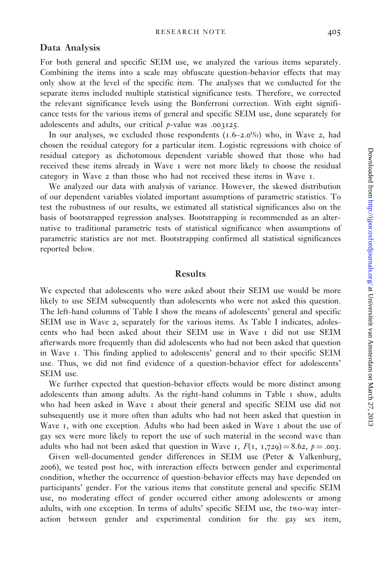### Data Analysis

For both general and specific SEIM use, we analyzed the various items separately. Combining the items into a scale may obfuscate question-behavior effects that may only show at the level of the specific item. The analyses that we conducted for the separate items included multiple statistical significance tests. Therefore, we corrected the relevant significance levels using the Bonferroni correction. With eight significance tests for the various items of general and specific SEIM use, done separately for adolescents and adults, our critical p-value was .003125.

In our analyses, we excluded those respondents  $(1.6-2.0\%)$  who, in Wave 2, had chosen the residual category for a particular item. Logistic regressions with choice of residual category as dichotomous dependent variable showed that those who had received these items already in Wave 1 were not more likely to choose the residual category in Wave 2 than those who had not received these items in Wave 1.

We analyzed our data with analysis of variance. However, the skewed distribution of our dependent variables violated important assumptions of parametric statistics. To test the robustness of our results, we estimated all statistical significances also on the basis of bootstrapped regression analyses. Bootstrapping is recommended as an alternative to traditional parametric tests of statistical significance when assumptions of parametric statistics are not met. Bootstrapping confirmed all statistical significances reported below.

#### Results

We expected that adolescents who were asked about their SEIM use would be more likely to use SEIM subsequently than adolescents who were not asked this question. The left-hand columns of [Table I](#page-6-0) show the means of adolescents' general and specific SEIM use in Wave 2, separately for the various items. As [Table I](#page-6-0) indicates, adolescents who had been asked about their SEIM use in Wave 1 did not use SEIM afterwards more frequently than did adolescents who had not been asked that question in Wave 1. This finding applied to adolescents' general and to their specific SEIM use. Thus, we did not find evidence of a question-behavior effect for adolescents' SEIM use.

We further expected that question-behavior effects would be more distinct among adolescents than among adults. As the right-hand columns in [Table](#page-6-0) 1 show, adults who had been asked in Wave I about their general and specific SEIM use did not subsequently use it more often than adults who had not been asked that question in Wave 1, with one exception. Adults who had been asked in Wave 1 about the use of gay sex were more likely to report the use of such material in the second wave than adults who had not been asked that question in Wave 1,  $F(1, 1,729) = 8.62$ ,  $p = .003$ .

Given well-documented gender differences in SEIM use ([Peter & Valkenburg,](#page-9-0) [2006](#page-9-0)), we tested post hoc, with interaction effects between gender and experimental condition, whether the occurrence of question-behavior effects may have depended on participants' gender. For the various items that constitute general and specific SEIM use, no moderating effect of gender occurred either among adolescents or among adults, with one exception. In terms of adults' specific SEIM use, the two-way interaction between gender and experimental condition for the gay sex item,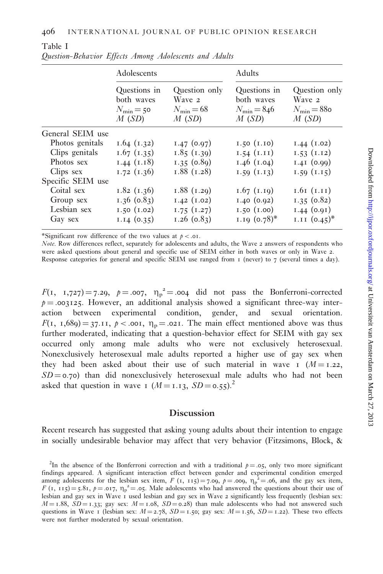|                   | Adolescents                                                  |                                                           | <b>Adults</b>                                              |                                                             |
|-------------------|--------------------------------------------------------------|-----------------------------------------------------------|------------------------------------------------------------|-------------------------------------------------------------|
|                   | Questions in<br>both waves<br>$N_{\text{min}} = 50$<br>M(SD) | Question only<br>Wave 2<br>$N_{\text{min}} = 68$<br>M(SD) | Questions in<br>both waves<br>$N_{\rm min} = 846$<br>M(SD) | Question only<br>Wave 2<br>$N_{\text{min}} = 88$ o<br>M(SD) |
| General SEIM use  |                                                              |                                                           |                                                            |                                                             |
| Photos genitals   | 1.64(1.32)                                                   | 1.47(0.07)                                                | 1.50(1.10)                                                 | 1.44(1.02)                                                  |
| Clips genitals    | 1.67(1.35)                                                   | 1.85(1.39)                                                | 1.54(1.11)                                                 | 1.53(1.12)                                                  |
| Photos sex        | $1.44$ $(1.18)$                                              | 1.35(0.89)                                                | $1.46$ (1.04)                                              | 1.41(0.00)                                                  |
| Clips sex         | 1.72(1.36)                                                   | 1.88(1.28)                                                | 1.59(1.13)                                                 | 1.59(1.15)                                                  |
| Specific SEIM use |                                                              |                                                           |                                                            |                                                             |
| Coital sex        | 1.82(1.36)                                                   | 1.88(1.29)                                                | $1.67$ (1.19)                                              | $1.61$ ( $1.11$ )                                           |
| Group sex         | $1.36$ (0.83)                                                | 1.42(1.02)                                                | 1.40(0.02)                                                 | 1.35(0.82)                                                  |
| Lesbian sex       | 1.50(1.02)                                                   | 1.75(1.27)                                                | 1.50(1.00)                                                 | 1.44(0.91)                                                  |
| Gay sex           | 1.14(0.35)                                                   | $1.26$ (0.83)                                             | $1.19$ $(0.78)$ <sup>*</sup>                               | I.II $(0.45)^*$                                             |

<span id="page-6-0"></span>Table I Question-Behavior Effects Among Adolescents and Adults

\*Significant row difference of the two values at  $p < .01$ .

Note. Row differences reflect, separately for adolescents and adults, the Wave 2 answers of respondents who were asked questions about general and specific use of SEIM either in both waves or only in Wave 2. Response categories for general and specific SEIM use ranged from 1 (never) to 7 (several times a day).

 $F(1, 1,727) = 7.29$ ,  $p = .007$ ,  $\eta_p^2 = .004$  did not pass the Bonferroni-corrected  $p = .003125$ . However, an additional analysis showed a significant three-way interaction between experimental condition, gender, and sexual orientation.  $F(1, 1,689) = 37.11, p < .001, \eta_p = .021$ . The main effect mentioned above was thus further moderated, indicating that a question-behavior effect for SEIM with gay sex occurred only among male adults who were not exclusively heterosexual. Nonexclusively heterosexual male adults reported a higher use of gay sex when they had been asked about their use of such material in wave  $I(M=1.22,$  $SD = 0.70$ ) than did nonexclusively heterosexual male adults who had not been asked that question in wave 1 ( $M = 1.13$ ,  $SD = 0.55$ ).<sup>2</sup>

#### Discussion

Recent research has suggested that asking young adults about their intention to engage in socially undesirable behavior may affect that very behavior ([Fitzsimons, Block, &](#page-9-0)

<sup>&</sup>lt;sup>2</sup>In the absence of the Bonferroni correction and with a traditional  $p = .05$ , only two more significant findings appeared. A significant interaction effect between gender and experimental condition emerged among adolescents for the lesbian sex item,  $F (1, 115) = 7.09$ ,  $p = .009$ ,  $\eta_p^2 = .06$ , and the gay sex item,  $F (1, 115) = 5.81, p = .017, \eta_p^2 = .05.$  Male adolescents who had answered the questions about their use of lesbian and gay sex in Wave 1 used lesbian and gay sex in Wave 2 significantly less frequently (lesbian sex:  $M = 1.88$ ,  $SD = 1.33$ ; gay sex:  $M = 1.08$ ,  $SD = 0.28$ ) than male adolescents who had not answered such questions in Wave 1 (lesbian sex:  $M = 2.78$ ,  $SD = 1.50$ ; gay sex:  $M = 1.56$ ,  $SD = 1.22$ ). These two effects were not further moderated by sexual orientation.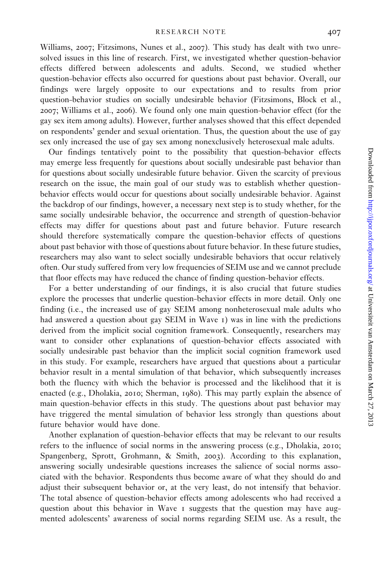[Williams,](#page-9-0) 2007; [Fitzsimons, Nunes et al.,](#page-9-0) 2007). This study has dealt with two unresolved issues in this line of research. First, we investigated whether question-behavior effects differed between adolescents and adults. Second, we studied whether question-behavior effects also occurred for questions about past behavior. Overall, our findings were largely opposite to our expectations and to results from prior question-behavior studies on socially undesirable behavior [\(Fitzsimons, Block et al.,](#page-9-0) [2007](#page-9-0); [Williams et al.,](#page-10-0) 2006). We found only one main question-behavior effect (for the gay sex item among adults). However, further analyses showed that this effect depended on respondents' gender and sexual orientation. Thus, the question about the use of gay sex only increased the use of gay sex among nonexclusively heterosexual male adults.

Our findings tentatively point to the possibility that question-behavior effects may emerge less frequently for questions about socially undesirable past behavior than for questions about socially undesirable future behavior. Given the scarcity of previous research on the issue, the main goal of our study was to establish whether questionbehavior effects would occur for questions about socially undesirable behavior. Against the backdrop of our findings, however, a necessary next step is to study whether, for the same socially undesirable behavior, the occurrence and strength of question-behavior effects may differ for questions about past and future behavior. Future research should therefore systematically compare the question-behavior effects of questions about past behavior with those of questions about future behavior. In these future studies, researchers may also want to select socially undesirable behaviors that occur relatively often. Our study suffered from very low frequencies of SEIM use and we cannot preclude that floor effects may have reduced the chance of finding question-behavior effects.

For a better understanding of our findings, it is also crucial that future studies explore the processes that underlie question-behavior effects in more detail. Only one finding (i.e., the increased use of gay SEIM among nonheterosexual male adults who had answered a question about gay SEIM in Wave 1) was in line with the predictions derived from the implicit social cognition framework. Consequently, researchers may want to consider other explanations of question-behavior effects associated with socially undesirable past behavior than the implicit social cognition framework used in this study. For example, researchers have argued that questions about a particular behavior result in a mental simulation of that behavior, which subsequently increases both the fluency with which the behavior is processed and the likelihood that it is enacted (e.g., [Dholakia,](#page-9-0) 2010; [Sherman,](#page-10-0) 1980). This may partly explain the absence of main question-behavior effects in this study. The questions about past behavior may have triggered the mental simulation of behavior less strongly than questions about future behavior would have done.

Another explanation of question-behavior effects that may be relevant to our results refers to the influence of social norms in the answering process (e.g., [Dholakia,](#page-9-0) 2010; [Spangenberg, Sprott, Grohmann, & Smith,](#page-10-0) 2003). According to this explanation, answering socially undesirable questions increases the salience of social norms associated with the behavior. Respondents thus become aware of what they should do and adjust their subsequent behavior or, at the very least, do not intensify that behavior. The total absence of question-behavior effects among adolescents who had received a question about this behavior in Wave 1 suggests that the question may have augmented adolescents' awareness of social norms regarding SEIM use. As a result, the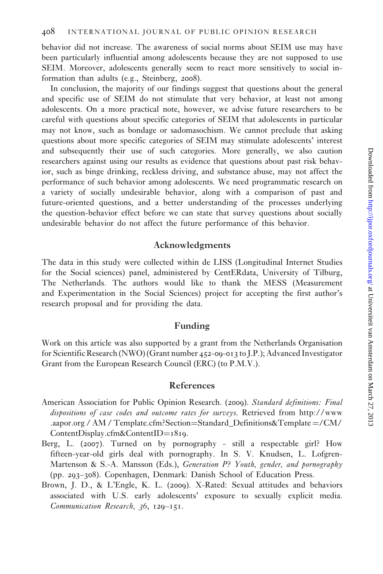<span id="page-8-0"></span>behavior did not increase. The awareness of social norms about SEIM use may have been particularly influential among adolescents because they are not supposed to use SEIM. Moreover, adolescents generally seem to react more sensitively to social information than adults (e.g., [Steinberg,](#page-10-0) 2008).

In conclusion, the majority of our findings suggest that questions about the general and specific use of SEIM do not stimulate that very behavior, at least not among adolescents. On a more practical note, however, we advise future researchers to be careful with questions about specific categories of SEIM that adolescents in particular may not know, such as bondage or sadomasochism. We cannot preclude that asking questions about more specific categories of SEIM may stimulate adolescents' interest and subsequently their use of such categories. More generally, we also caution researchers against using our results as evidence that questions about past risk behavior, such as binge drinking, reckless driving, and substance abuse, may not affect the performance of such behavior among adolescents. We need programmatic research on a variety of socially undesirable behavior, along with a comparison of past and future-oriented questions, and a better understanding of the processes underlying the question-behavior effect before we can state that survey questions about socially undesirable behavior do not affect the future performance of this behavior.

#### Acknowledgments

The data in this study were collected within de LISS (Longitudinal Internet Studies for the Social sciences) panel, administered by CentERdata, University of Tilburg, The Netherlands. The authors would like to thank the MESS (Measurement and Experimentation in the Social Sciences) project for accepting the first author's research proposal and for providing the data.

#### Funding

Work on this article was also supported by a grant from the Netherlands Organisation for Scientific Research (NWO) (Grant number 452-09-013 to J.P.); Advanced Investigator Grant from the European Research Council (ERC) (to P.M.V.).

#### References

- American Association for Public Opinion Research. (2009). Standard definitions: Final dispositions of case codes and outcome rates for surveys. Retrieved from http://www .aapor.org / AM / Template.cfm?Section=Standard\_Definitions&Template =/CM/ ContentDisplay.cfm&ContentID=1819.
- Berg, L. (2007). Turned on by pornography still a respectable girl? How fifteen-year-old girls deal with pornography. In S. V. Knudsen, L. Lofgren-Martenson & S.-A. Mansson (Eds.), Generation P? Youth, gender, and pornography (pp. 293–308). Copenhagen, Denmark: Danish School of Education Press.
- Brown, J. D., & L'Engle, K. L. (2009). X-Rated: Sexual attitudes and behaviors associated with U.S. early adolescents' exposure to sexually explicit media. Communication Research, 36, 129–151.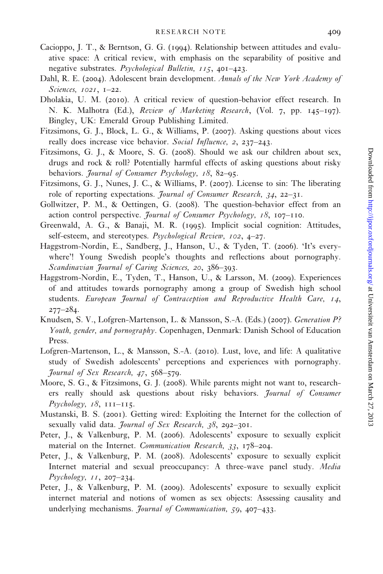- <span id="page-9-0"></span>Cacioppo, J. T., & Berntson, G. G. (1994). Relationship between attitudes and evaluative space: A critical review, with emphasis on the separability of positive and negative substrates. Psychological Bulletin, 115, 401-423.
- Dahl, R. E. (2004). Adolescent brain development. Annals of the New York Academy of Sciences, 1021, 1–22.
- Dholakia, U. M. (2010). A critical review of question-behavior effect research. In N. K. Malhotra (Ed.), Review of Marketing Research, (Vol. 7, pp. 145–197). Bingley, UK: Emerald Group Publishing Limited.
- Fitzsimons, G. J., Block, L. G., & Williams, P. (2007). Asking questions about vices really does increase vice behavior. Social Influence, 2, 237-243.
- Fitzsimons, G. J., & Moore, S. G. (2008). Should we ask our children about sex, drugs and rock & roll? Potentially harmful effects of asking questions about risky behaviors. Journal of Consumer Psychology, 18, 82-95.
- Fitzsimons, G. J., Nunes, J. C., & Williams, P. (2007). License to sin: The liberating role of reporting expectations. Journal of Consumer Research, 34, 22–31.
- Gollwitzer, P. M., & Oettingen, G. (2008). The question-behavior effect from an action control perspective. *Journal of Consumer Psychology*,  $18$ ,  $107-110$ .
- Greenwald, A. G., & Banaji, M. R. (1995). Implicit social cognition: Attitudes, self-esteem, and stereotypes. Psychological Review, 102, 4-27.
- Haggstrom-Nordin, E., Sandberg, J., Hanson, U., & Tyden, T. (2006). 'It's everywhere'! Young Swedish people's thoughts and reflections about pornography. Scandinavian Journal of Caring Sciences, 20, 386–393.
- Haggstrom-Nordin, E., Tyden, T., Hanson, U., & Larsson, M. (2009). Experiences of and attitudes towards pornography among a group of Swedish high school students. European Journal of Contraception and Reproductive Health Care, 14, 277–284.
- Knudsen, S. V., Lofgren-Martenson, L. & Mansson, S.-A. (Eds.) (2007). Generation P? Youth, gender, and pornography. Copenhagen, Denmark: Danish School of Education Press.
- Lofgren-Martenson, L., & Mansson, S.-A. (2010). Lust, love, and life: A qualitative study of Swedish adolescents' perceptions and experiences with pornography. Journal of Sex Research, 47, 568–579.
- Moore, S. G., & Fitzsimons, G. J. (2008). While parents might not want to, researchers really should ask questions about risky behaviors. Journal of Consumer  $P<sub>sychology</sub>, 18, 111–115.$
- Mustanski, B. S. (2001). Getting wired: Exploiting the Internet for the collection of sexually valid data. Journal of Sex Research, 38, 292-301.
- Peter, J., & Valkenburg, P. M. (2006). Adolescents' exposure to sexually explicit material on the Internet. Communication Research, 33, 178-204.
- Peter, J., & Valkenburg, P. M. (2008). Adolescents' exposure to sexually explicit Internet material and sexual preoccupancy: A three-wave panel study. Media  $Ps$ *ychology*,  $II$ , 207–234.
- Peter, J., & Valkenburg, P. M. (2009). Adolescents' exposure to sexually explicit internet material and notions of women as sex objects: Assessing causality and underlying mechanisms. *Journal of Communication*, 59, 407–433.